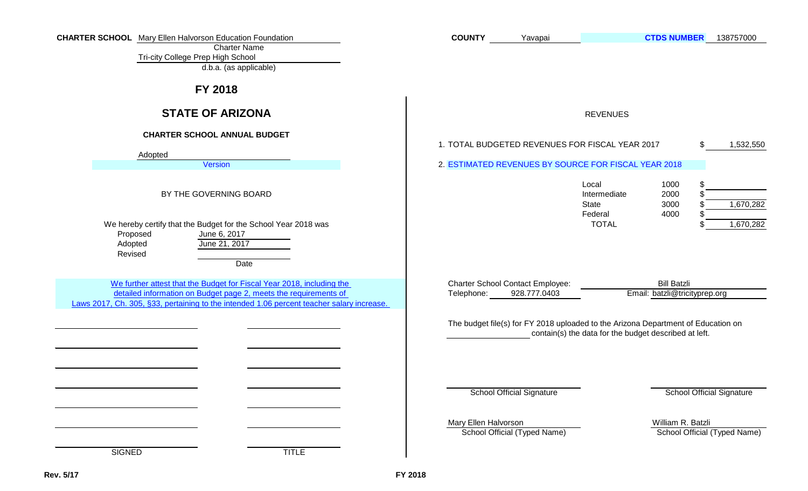| <b>CHARTER SCHOOL</b> Mary Ellen Halvorson Education Foundation<br><b>Charter Name</b><br>Tri-city College Prep High School<br>d.b.a. (as applicable)                                                                                  | <b>COUNTY</b>                                         | Yavapai                          |                                                                                                                                            | <b>CTDS NUMBER</b>                                  | 138757000                        |
|----------------------------------------------------------------------------------------------------------------------------------------------------------------------------------------------------------------------------------------|-------------------------------------------------------|----------------------------------|--------------------------------------------------------------------------------------------------------------------------------------------|-----------------------------------------------------|----------------------------------|
| FY 2018                                                                                                                                                                                                                                |                                                       |                                  |                                                                                                                                            |                                                     |                                  |
| <b>STATE OF ARIZONA</b>                                                                                                                                                                                                                |                                                       |                                  | <b>REVENUES</b>                                                                                                                            |                                                     |                                  |
| <b>CHARTER SCHOOL ANNUAL BUDGET</b><br>Adopted<br>Version                                                                                                                                                                              |                                                       |                                  | 1. TOTAL BUDGETED REVENUES FOR FISCAL YEAR 2017<br>2. ESTIMATED REVENUES BY SOURCE FOR FISCAL YEAR 2018                                    |                                                     | \$.<br>1,532,550                 |
| BY THE GOVERNING BOARD<br>We hereby certify that the Budget for the School Year 2018 was<br>Proposed<br>June 6, 2017<br>Adopted<br>June 21, 2017<br>Revised<br>Date                                                                    |                                                       |                                  | Local<br>Intermediate<br><b>State</b><br>Federal<br><b>TOTAL</b>                                                                           | 1000<br>2000<br>3000<br>4000                        | \$<br>1,670,282<br>1,670,282     |
| We further attest that the Budget for Fiscal Year 2018, including the<br>detailed information on Budget page 2, meets the requirements of<br>Laws 2017, Ch. 305, §33, pertaining to the intended 1.06 percent teacher salary increase. | <b>Charter School Contact Employee:</b><br>Telephone: | 928.777.0403                     |                                                                                                                                            | <b>Bill Batzli</b><br>Email: batzli@tricityprep.org |                                  |
|                                                                                                                                                                                                                                        |                                                       | <b>School Official Signature</b> | The budget file(s) for FY 2018 uploaded to the Arizona Department of Education on<br>contain(s) the data for the budget described at left. |                                                     | <b>School Official Signature</b> |
| <b>SIGNED</b><br><b>TITLE</b>                                                                                                                                                                                                          | Mary Ellen Halvorson                                  | School Official (Typed Name)     |                                                                                                                                            | William R. Batzli                                   | School Official (Typed Name)     |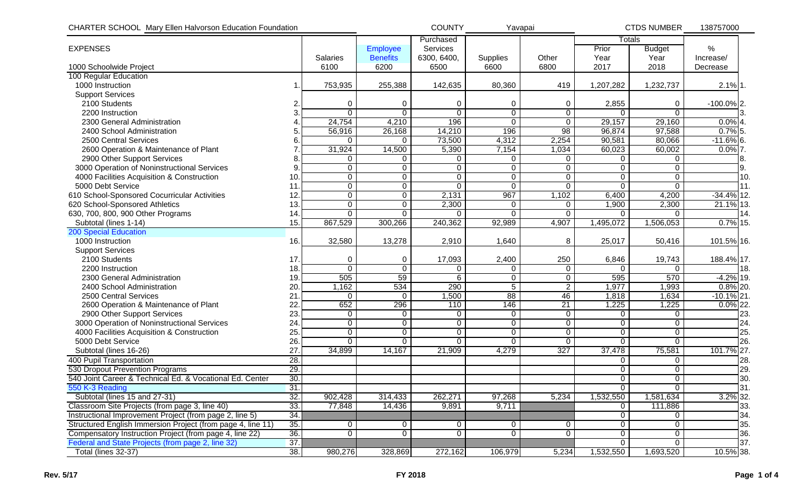| <b>CHARTER SCHOOL Mary Ellen Halvorson Education Foundation</b> |                 | <b>COUNTY</b><br>Yavapai |                 | <b>CTDS NUMBER</b> |                | 138757000      |                |                |               |     |
|-----------------------------------------------------------------|-----------------|--------------------------|-----------------|--------------------|----------------|----------------|----------------|----------------|---------------|-----|
|                                                                 |                 |                          |                 | Purchased          |                |                |                | <b>Totals</b>  |               |     |
| <b>EXPENSES</b>                                                 |                 |                          | Employee        | Services           |                |                | Prior          | <b>Budget</b>  | %             |     |
|                                                                 |                 | <b>Salaries</b>          | <b>Benefits</b> | 6300, 6400,        | Supplies       | Other          | Year           | Year           | Increase/     |     |
| 1000 Schoolwide Project                                         |                 | 6100                     | 6200            | 6500               | 6600           | 6800           | 2017           | 2018           | Decrease      |     |
| 100 Regular Education                                           |                 |                          |                 |                    |                |                |                |                |               |     |
| 1000 Instruction                                                |                 | 753,935                  | 255,388         | 142,635            | 80,360         | 419            | 1,207,282      | 1,232,737      | $2.1\%$ 1.    |     |
| <b>Support Services</b>                                         |                 |                          |                 |                    |                |                |                |                |               |     |
| 2100 Students                                                   | 2.              | 0                        | 0               | 0                  | 0              | 0              | 2,855          | 0              | $-100.0\%$ 2. |     |
| 2200 Instruction                                                | 3.              | $\Omega$                 | $\Omega$        | $\mathbf 0$        | $\pmb{0}$      | $\mathbf 0$    | $\Omega$       | $\Omega$       |               |     |
| 2300 General Administration                                     |                 | 24,754                   | 4,210           | 196                | $\overline{0}$ | $\mathbf 0$    | 29,157         | 29,160         | $0.0\%$ 4.    |     |
| 2400 School Administration                                      | 5.              | 56,916                   | 26,168          | 14,210             | 196            | 98             | 96,874         | 97,588         | $0.7\%$ 5.    |     |
| 2500 Central Services                                           | 6               | $\Omega$                 | $\Omega$        | 73,500             | 4,312          | 2,254          | 90,581         | 80,066         | $-11.6\%$ 6.  |     |
| 2600 Operation & Maintenance of Plant                           |                 | 31,924                   | 14,500          | 5,390              | 7,154          | 1,034          | 60,023         | 60,002         | $0.0\%$ 7.    |     |
| 2900 Other Support Services                                     | 8               | 0                        | 0               | $\mathbf 0$        | 0              | 0              | 0              | 0              |               |     |
| 3000 Operation of Noninstructional Services                     | 9.              | 0                        | 0               | 0                  | $\overline{0}$ | $\mathbf 0$    | $\mathbf 0$    | $\overline{0}$ |               |     |
| 4000 Facilities Acquisition & Construction                      | 10 <sub>1</sub> | 0                        | $\mathbf 0$     | $\mathbf 0$        | $\mathbf 0$    | $\mathbf 0$    | $\mathbf 0$    | $\mathbf 0$    |               | 10. |
| 5000 Debt Service                                               | 11              | $\overline{0}$           | $\mathbf 0$     | $\Omega$           | $\overline{0}$ | $\overline{0}$ | $\overline{0}$ | $\overline{0}$ |               | 11. |
| 610 School-Sponsored Cocurricular Activities                    | 12.             | 0                        | $\overline{0}$  | 2,131              | 967            | 1,102          | 6,400          | 4,200          | $-34.4%$ 12.  |     |
| 620 School-Sponsored Athletics                                  | 13.             | 0                        | $\overline{0}$  | 2,300              | 0              | 0              | 1,900          | 2,300          | 21.1% 13.     |     |
| 630, 700, 800, 900 Other Programs                               | 14.             | $\Omega$                 | $\mathbf{0}$    | 0                  | $\Omega$       | $\Omega$       | $\Omega$       | $\Omega$       |               | 14. |
| Subtotal (lines 1-14)                                           | 15.             | 867,529                  | 300,266         | 240,362            | 92,989         | 4,907          | 1,495,072      | 1,506,053      | $0.7\%$ 15.   |     |
| <b>200 Special Education</b>                                    |                 |                          |                 |                    |                |                |                |                |               |     |
| 1000 Instruction                                                | 16.             | 32,580                   | 13,278          | 2,910              | 1,640          | 8              | 25,017         | 50,416         | 101.5% 16.    |     |
| <b>Support Services</b>                                         |                 |                          |                 |                    |                |                |                |                |               |     |
| 2100 Students                                                   | 17.             | 0                        | 0               | 17,093             | 2,400          | 250            | 6,846          | 19,743         | 188.4% 17.    |     |
| 2200 Instruction                                                | 18.             | $\overline{0}$           | $\mathbf 0$     | 0                  | 0              | 0              | $\Omega$       | $\Omega$       |               | 18. |
| 2300 General Administration                                     | 19.             | 505                      | 59              | $\overline{6}$     | $\overline{0}$ | $\mathbf 0$    | 595            | 570            | $-4.2\%$ 19.  |     |
| 2400 School Administration                                      | 20.             | 1,162                    | 534             | 290                | $\overline{5}$ | $\overline{2}$ | 1,977          | 1,993          | $0.8\%$ 20.   |     |
| 2500 Central Services                                           | 21              | 0                        | $\mathbf{0}$    | ,500               | 88             | 46             | 1,818          | 1,634          | $-10.1\%$ 21. |     |
| 2600 Operation & Maintenance of Plant                           | 22.             | 652                      | 296             | 110                | 146            | 21             | 1,225          | 1,225          | $0.0\%$ 22.   |     |
| 2900 Other Support Services                                     | 23.             | 0                        | 0               | 0                  | $\pmb{0}$      | $\pmb{0}$      | $\Omega$       | $\mathbf 0$    |               | 23. |
| 3000 Operation of Noninstructional Services                     | 24.             | $\overline{0}$           | 0               | $\overline{0}$     | $\overline{0}$ | $\mathbf 0$    | $\overline{0}$ | $\overline{0}$ |               | 24. |
| 4000 Facilities Acquisition & Construction                      | 25.             | 0                        | 0               | $\mathbf 0$        | $\overline{0}$ | $\overline{0}$ | $\overline{0}$ | $\overline{0}$ |               | 25. |
| 5000 Debt Service                                               | 26.             | $\Omega$                 | $\Omega$        | $\Omega$           | $\Omega$       | $\Omega$       | $\Omega$       | $\Omega$       |               | 26. |
| Subtotal (lines 16-26)                                          | 27              | 34,899                   | 14,167          | 21,909             | 4,279          | 327            | 37,478         | 75,581         | 101.7% 27.    |     |
| 400 Pupil Transportation                                        | 28.             |                          |                 |                    |                |                | $\mathbf 0$    | 0              |               | 28. |
| 530 Dropout Prevention Programs                                 | 29.             |                          |                 |                    |                |                | $\mathbf 0$    | $\overline{0}$ |               | 29. |
| 540 Joint Career & Technical Ed. & Vocational Ed. Center        | 30.             |                          |                 |                    |                |                | $\overline{0}$ | $\overline{0}$ |               | 30. |
| 550 K-3 Reading                                                 | 31.             |                          |                 |                    |                |                | $\mathbf 0$    | $\overline{0}$ |               | 31. |
| Subtotal (lines 15 and 27-31)                                   | 32.             | 902,428                  | 314,433         | 262,271            | 97,268         | 5,234          | 1,532,550      | 1,581,634      | $3.2\%$ 32.   |     |
| Classroom Site Projects (from page 3, line 40)                  | 33.             | 77,848                   | 14,436          | 9,891              | 9,711          |                | $\mathbf 0$    | 111,886        |               | 33. |
| Instructional Improvement Project (from page 2, line 5)         | 34.             |                          |                 |                    |                |                | $\mathbf 0$    | $\overline{0}$ |               | 34. |
| Structured English Immersion Project (from page 4, line 11)     | 35.             | 0                        | $\Omega$        | 0                  | $\overline{0}$ | 0              | $\mathbf 0$    | $\overline{0}$ |               | 35. |
| Compensatory Instruction Project (from page 4, line 22)         | 36.             | $\overline{0}$           | $\mathbf 0$     | $\mathbf 0$        | $\mathbf 0$    | $\mathbf 0$    | $\mathbf 0$    | $\overline{0}$ |               | 36. |
| Federal and State Projects (from page 2, line 32)               | 37.             |                          |                 |                    |                |                | $\Omega$       | $\mathbf{0}$   |               | 37. |
| Total (lines 32-37)                                             | 38.             | 980,276                  | 328,869         | 272,162            | 106,979        | 5,234          | 1,532,550      | 1,693,520      | $10.5\%$ 38.  |     |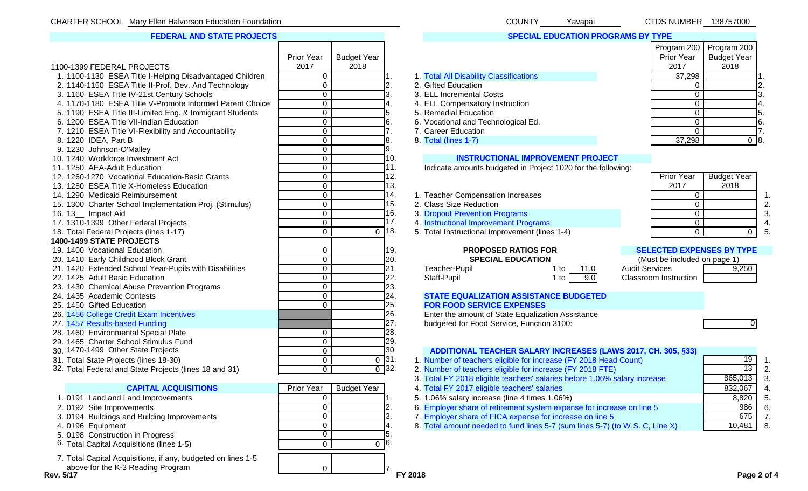### **FEDERAL AND STATE PROJECTS**

| 1100-1399 FEDERAL PROJECTS                                                    | Prior Year<br>2017 | <b>Budget Year</b><br>2018 |                    |                                                                           | Prior Year<br>2017               | $10.91$ and $200$ $1.1091$ and $200$<br><b>Budget Year</b><br>2018 |    |
|-------------------------------------------------------------------------------|--------------------|----------------------------|--------------------|---------------------------------------------------------------------------|----------------------------------|--------------------------------------------------------------------|----|
| 1. 1100-1130 ESEA Title I-Helping Disadvantaged Children                      | $\mathbf 0$        |                            |                    | 1. Total All Disability Classifications                                   | 37,298                           |                                                                    |    |
| 2. 1140-1150 ESEA Title II-Prof. Dev. And Technology                          | $\mathbf 0$        |                            | 2.                 | 2. Gifted Education                                                       | $\Omega$                         |                                                                    | 2. |
| 3. 1160 ESEA Title IV-21st Century Schools                                    | $\overline{0}$     |                            | 3.                 | 3. ELL Incremental Costs                                                  | $\Omega$                         |                                                                    | 3. |
| 4. 1170-1180 ESEA Title V-Promote Informed Parent Choice                      | 0                  |                            | 4.                 | 4. ELL Compensatory Instruction                                           | 0                                |                                                                    |    |
| 5. 1190 ESEA Title III-Limited Eng. & Immigrant Students                      | $\mathbf 0$        |                            | 5.                 | 5. Remedial Education                                                     | $\Omega$                         |                                                                    | 5. |
| 6. 1200 ESEA Title VII-Indian Education                                       | $\overline{0}$     |                            | 6.                 | 6. Vocational and Technological Ed.                                       | 0                                |                                                                    | 6. |
| 7. 1210 ESEA Title VI-Flexibility and Accountability                          | $\overline{0}$     |                            |                    | 7. Career Education                                                       | $\Omega$                         |                                                                    | 7. |
| 8. 1220 IDEA, Part B                                                          | $\overline{0}$     |                            | 8.                 | 8. Total (lines 1-7)                                                      | 37,298                           | $\overline{0}$ 8.                                                  |    |
| 9. 1230 Johnson-O'Malley                                                      | $\overline{0}$     |                            | 9.                 |                                                                           |                                  |                                                                    |    |
| 10. 1240 Workforce Investment Act                                             | $\mathbf 0$        |                            | 10.                | <b>INSTRUCTIONAL IMPROVEMENT PROJECT</b>                                  |                                  |                                                                    |    |
| 11. 1250 AEA-Adult Education                                                  | $\overline{0}$     |                            | 11.                | Indicate amounts budgeted in Project 1020 for the following:              |                                  |                                                                    |    |
| 12. 1260-1270 Vocational Education-Basic Grants                               | $\mathbf 0$        |                            | 12.                |                                                                           | <b>Prior Year</b>                | <b>Budget Year</b>                                                 |    |
| 13. 1280 ESEA Title X-Homeless Education                                      | $\overline{0}$     |                            | 13.                |                                                                           | 2017                             | 2018                                                               |    |
| 14. 1290 Medicaid Reimbursement                                               | $\mathbf 0$        |                            | 14.                | 1. Teacher Compensation Increases                                         | $\Omega$                         |                                                                    |    |
| 15. 1300 Charter School Implementation Proj. (Stimulus)                       | $\overline{0}$     |                            | 15.                | 2. Class Size Reduction                                                   | $\mathbf 0$                      |                                                                    | 2. |
| 16. 13_ Impact Aid                                                            | $\overline{0}$     |                            | 16.                | 3. Dropout Prevention Programs                                            | $\Omega$                         |                                                                    | 3  |
| 17. 1310-1399 Other Federal Projects                                          | $\overline{0}$     |                            | 17.                | 4. Instructional Improvement Programs                                     | $\mathbf 0$                      |                                                                    |    |
| 18. Total Federal Projects (lines 1-17)                                       | $\overline{0}$     |                            | $\overline{0}$ 18. | 5. Total Instructional Improvement (lines 1-4)                            | $\overline{0}$                   | $\Omega$                                                           | 5  |
| 1400-1499 STATE PROJECTS                                                      |                    |                            |                    |                                                                           |                                  |                                                                    |    |
| 19. 1400 Vocational Education                                                 | 0                  |                            | 19.                | <b>PROPOSED RATIOS FOR</b>                                                | <b>SELECTED EXPENSES BY TYPE</b> |                                                                    |    |
| 20. 1410 Early Childhood Block Grant                                          | 0                  |                            | 20.                | <b>SPECIAL EDUCATION</b>                                                  | (Must be included on page 1)     |                                                                    |    |
| 21. 1420 Extended School Year-Pupils with Disabilities                        | $\mathbf 0$        |                            | 21.                | Teacher-Pupil<br>1 to 11.0                                                | <b>Audit Services</b>            | 9,250                                                              |    |
| 22. 1425 Adult Basic Education                                                | $\mathbf 0$        |                            | 22.                | Staff-Pupil<br>1 to $9.0$                                                 | <b>Classroom Instruction</b>     |                                                                    |    |
| 23. 1430 Chemical Abuse Prevention Programs                                   | $\overline{0}$     |                            | 23.                |                                                                           |                                  |                                                                    |    |
| 24. 1435 Academic Contests                                                    | $\overline{0}$     |                            | 24.                | <b>STATE EQUALIZATION ASSISTANCE BUDGETED</b>                             |                                  |                                                                    |    |
| 25. 1450 Gifted Education                                                     | $\Omega$           |                            | 25.<br>26.         | <b>FOR FOOD SERVICE EXPENSES</b>                                          |                                  |                                                                    |    |
| 26. 1456 College Credit Exam Incentives                                       |                    |                            | 27.                | Enter the amount of State Equalization Assistance                         |                                  |                                                                    |    |
| 27. 1457 Results-based Funding                                                |                    |                            | 28.                | budgeted for Food Service, Function 3100:                                 |                                  | 01                                                                 |    |
| 28. 1460 Environmental Special Plate<br>29. 1465 Charter School Stimulus Fund | 0<br>$\mathbf 0$   |                            | 29.                |                                                                           |                                  |                                                                    |    |
| 30. 1470-1499 Other State Projects                                            | $\overline{0}$     |                            | 30.                | ADDITIONAL TEACHER SALARY INCREASES (LAWS 2017, CH. 305, §33)             |                                  |                                                                    |    |
| 31. Total State Projects (lines 19-30)                                        | $\overline{0}$     |                            | $\frac{0}{0}$ 31.  | 1. Number of teachers eligible for increase (FY 2018 Head Count)          |                                  | 19                                                                 |    |
| 32. Total Federal and State Projects (lines 18 and 31)                        | $\overline{0}$     |                            | $\overline{0}$ 32. | 2. Number of teachers eligible for increase (FY 2018 FTE)                 |                                  | 13                                                                 | 2. |
|                                                                               |                    |                            |                    | 3. Total FY 2018 eligible teachers' salaries before 1.06% salary increase |                                  | 865,013                                                            | 3. |
| <b>CAPITAL ACQUISITIONS</b>                                                   | Prior Year         | <b>Budget Year</b>         |                    | 4. Total FY 2017 eligible teachers' salaries                              |                                  | 832,067                                                            |    |
| 1. 0191 Land and Land Improvements                                            | 0                  |                            |                    | 5. 1.06% salary increase (line 4 times 1.06%)                             |                                  | 8,820                                                              |    |

- 
- 
- 
- 5. 0198 Construction in Progress 6. 1998 Construction in Progress 1.5.<br>
6. Total Capital Acquisitions (lines 1-5) 6. Total Capital Acquisitions (lines 1-5) 0

7. Total Capital Acquisitions, if any, budgeted on lines 1-5 above for the K-3 Reading Program<br>Rev. 5/17

 $\begin{array}{ccc} \hline \text{O} & \text{O} & \text{O} \end{array}$  7.

| 2018 |     |                               |
|------|-----|-------------------------------|
|      | 1.  | 1. Total All Disability Class |
|      | 2.  | 2. Gifted Education           |
|      | 3.  | 3. ELL Incremental Costs      |
|      | 4.  | 4. ELL Compensatory Instr     |
|      | 5.  | 5. Remedial Education         |
|      | 6.  | 6. Vocational and Technold    |
|      | 7.  | 7. Career Education           |
|      | 8.  | 8. Total (lines 1-7)          |
|      | 9.  |                               |
|      | 10. | <b>INSTRUCTION</b>            |
|      | 11. | Indicate amounts budge        |
|      | 12. |                               |
|      | 13. |                               |
|      | 14. | 1. Teacher Compensation       |
|      | 15. | 2. Class Size Reduction       |
|      | 16. | 3. Dropout Prevention Prog    |
|      | 17. | 4. Instructional Improveme    |
| 0    | 18. | 5. Total Instructional Impro  |
|      |     |                               |
|      | 19. | <b>PROPOSED</b>               |
|      | 20. | <b>SPECIAL E</b>              |
|      | 21. | Teacher-Pupil                 |
|      | 22. | Staff-Pupil                   |
|      | 23. |                               |
|      | 24. | <b>STATE EQUALIZATION</b>     |
|      | 25. | <b>FOR FOOD SERVICE E</b>     |
|      | 26. | Enter the amount of Stat      |
|      | 27. | budgeted for Food Servi       |
|      | 28. |                               |
|      | 29. |                               |
|      | 30. | <b>ADDITIONAL TEACHI</b>      |
| O    | 31. | 1 Number of teachers eligi    |

| <u>UUUNII</u> | ı avapaı                                  |  | <b>UIDU NUMBLI</b> N 1907 J7000 |                          |
|---------------|-------------------------------------------|--|---------------------------------|--------------------------|
|               |                                           |  |                                 |                          |
|               | <b>SPECIAL EDUCATION PROGRAMS BY TYPE</b> |  |                                 |                          |
|               |                                           |  |                                 |                          |
|               |                                           |  | Program 200 Program 200         |                          |
|               |                                           |  |                                 | Prior Year   Budget Year |

|                                            | 2017                 |  |
|--------------------------------------------|----------------------|--|
| <b>otal All Disability Classifications</b> | 37,298               |  |
| ifted Education                            |                      |  |
| LL Incremental Costs                       |                      |  |
| LL Compensatory Instruction                |                      |  |
| emedial Education                          |                      |  |
| ocational and Technological Ed.            |                      |  |
| areer Education                            |                      |  |
|                                            | $\sim$ $\sim$ $\sim$ |  |

### **IAL IMPROVEMENT PROJECT**

- 
- 
- 
- 

| Teacher-Pupil | 1 to the 1 | $-11.0$ |  |
|---------------|------------|---------|--|
| Staff-Pupil   | 1 to       | 9.0     |  |

# **19. 19. 1400 PATIOS FOR 19. 1400 VOCATIOS FOR SELECTED EXPENSES BY TYPE**

| (Must be included on page 1) |       |
|------------------------------|-------|
| <b>Audit Services</b>        | 9.250 |
| Classroom Instruction        |       |

## **ASSISTANCE BUDGETED**



### **ER SALARY INCREASES (LAWS 2017, CH. 305, §33)**  $\begin{array}{|l|l|}\hline \text{0} & \text{31.} & \text{1} & \text{Number of teachers eligible for increase (FY 2018 Head Count)} \hline \text{0} & \text{32.} & \text{2. Number of teachers eligible for increase (FY 2018 FTE)}\hline \end{array}$  1. 13 2. 2. Number of teachers eligible for increase (FY 2018 FTE)<br>3. Total FY 2018 eligible teachers' salaries before 1.06% salary increase 865,013 3. 3. Total FY 2018 eligible teachers' salaries before 1.06% salary increase **CAPITAL ACCUISITION** ACCUISITIONS PRIOR ACCUISITION ACCEPTS AND RELEASE TO A RELEASE A RELEASE AND RELEASE A RELEASE A RELEASE AND RELEASE A RELEASE A RELEASE AND RELEASE A RELEASE A RELEASE A RELEASE A RELEASE A RELEASE 1.06% salary increase (line 4 times 1.06%) 8,820 5. 2. 0192 Site Improvements **2.** 0 2. 6. Employer share of retirement system expense for increase on line 5 986 6.<br>3. 0194 Buildings and Building Improvements **1986** 6. T. Employer share of FICA expense for increase on line 01 Buildings and Buildings and Building Improvements 0 3. 7. Employer share of FICA expense for increase on line 5 675 7. 4. 0196 Equipment **10.481** 8. Total amount needed to fund lines 5-7 (sum lines 5-7) (to W.S. C, Line X) 10,481 8.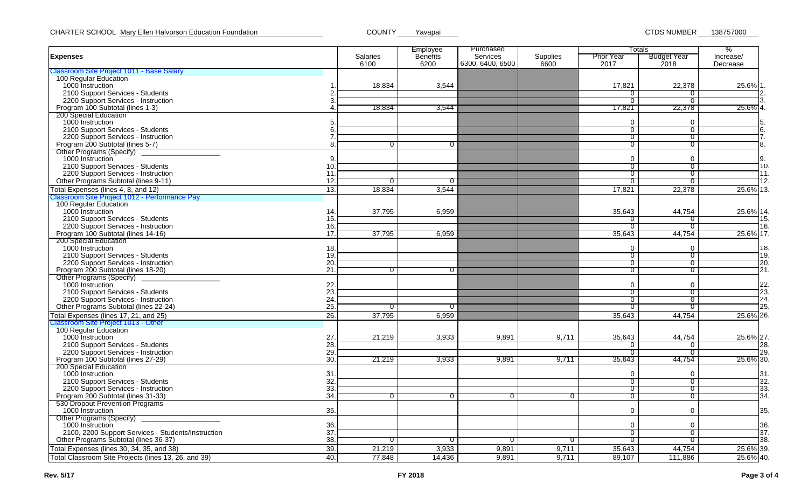|                                                      |     |                | Employee        | Purchased        |                 | Totals            | %                  |           |
|------------------------------------------------------|-----|----------------|-----------------|------------------|-----------------|-------------------|--------------------|-----------|
| <b>Expenses</b>                                      |     | Salaries       | <b>Benefits</b> | <b>Services</b>  | <b>Supplies</b> | <b>Prior Year</b> | <b>Budget Year</b> | Increase/ |
| Classroom Site Project 1011 - Base Salary            |     | 6100           | 6200            | 6300, 6400, 6500 | 6600            | 2017              | 2018               | Decrease  |
| 100 Regular Education                                |     |                |                 |                  |                 |                   |                    |           |
| 1000 Instruction                                     |     | 18,834         | 3,544           |                  |                 | 17,821            | 22,378             | 25.6% 1.  |
| 2100 Support Services - Students                     |     |                |                 |                  |                 | O                 |                    | 2.        |
| 2200 Support Services - Instruction                  | З   |                |                 |                  |                 | 0                 | $\overline{0}$     |           |
|                                                      |     |                |                 |                  |                 |                   |                    |           |
| Program 100 Subtotal (lines 1-3)                     |     | 18,834         | 3,544           |                  |                 | 17,821            | 22,378             | 25.6% 4.  |
| 200 Special Education                                |     |                |                 |                  |                 | $\Omega$          | $\Omega$           |           |
| 1000 Instruction                                     | 5   |                |                 |                  |                 |                   |                    | 5.        |
| 2100 Support Services - Students                     | 6.  |                |                 |                  |                 | 0                 | $\overline{0}$     | 6.        |
| 2200 Support Services - Instruction                  |     |                |                 |                  |                 | $\overline{0}$    | $\overline{0}$     | 7.        |
| Program 200 Subtotal (lines 5-7)                     | 8.  | $\overline{0}$ | $\overline{0}$  |                  |                 | $\sigma$          | $\overline{0}$     | 8.        |
| Other Programs (Specify)                             |     |                |                 |                  |                 |                   |                    |           |
| 1000 Instruction                                     | 9.  |                |                 |                  |                 | $\mathbf 0$       | $\mathbf 0$        |           |
| 2100 Support Services - Students                     | 10. |                |                 |                  |                 | 0                 | $\overline{0}$     | 10.       |
| 2200 Support Services - Instruction                  | 11  |                |                 |                  |                 | 0                 | $\overline{0}$     | 11.       |
| Other Programs Subtotal (lines 9-11)                 | 12. | $\overline{0}$ | 0               |                  |                 | 0                 | $\overline{0}$     | 12.       |
| Total Expenses (lines 4, 8, and 12)                  | 13. | 18,834         | 3,544           |                  |                 | 17,821            | 22,378             | 25.6% 13. |
| Classroom Site Project 1012 - Performance Pay        |     |                |                 |                  |                 |                   |                    |           |
| 100 Regular Education                                |     |                |                 |                  |                 |                   |                    |           |
| 1000 Instruction                                     | 14. | 37,795         | 6,959           |                  |                 | 35,643            | 44,754             | 25.6% 14. |
| 2100 Support Services - Students                     | 15. |                |                 |                  |                 | 0                 | $\sigma$           | 15.       |
| 2200 Support Services - Instruction                  | 16. |                |                 |                  |                 | 0                 | $\overline{0}$     | 16.       |
| Program 100 Subtotal (lines 14-16)                   | 17. | 37,795         | 6,959           |                  |                 | 35,643            | 44,754             | 25.6% 17. |
| 200 Special Education                                |     |                |                 |                  |                 |                   |                    |           |
| 1000 Instruction                                     | 18. |                |                 |                  |                 | $\Omega$          | $\Omega$           | 18.       |
| 2100 Support Services - Students                     | 19. |                |                 |                  |                 | 0                 | $\overline{0}$     | 19.       |
| 2200 Support Services - Instruction                  | 20. |                |                 |                  |                 | 0                 | $\overline{0}$     | 20.       |
| Program 200 Subtotal (lines 18-20)                   | 21  | $\overline{0}$ | $\overline{0}$  |                  |                 | 0                 | $\overline{0}$     | 21.       |
|                                                      |     |                |                 |                  |                 |                   |                    |           |
| Other Programs (Specify)<br>1000 Instruction         |     |                |                 |                  |                 | $\Omega$          | $\Omega$           | 22.       |
|                                                      | 22. |                |                 |                  |                 |                   |                    | 23.       |
| 2100 Support Services - Students                     | 23. |                |                 |                  |                 | 0                 | $\overline{0}$     | 24.       |
| 2200 Support Services - Instruction                  | 24  |                |                 |                  |                 | 0                 | $\overline{0}$     |           |
| Other Programs Subtotal (lines 22-24)                | 25. | $\overline{0}$ | $\overline{0}$  |                  |                 | $\overline{0}$    | $\overline{c}$     | 25.       |
| Total Expenses (lines 17, 21, and 25)                | 26. | 37,795         | 6,959           |                  |                 | 35,643            | 44,754             | 25.6% 26. |
| Classroom Site Project 1013 - Other                  |     |                |                 |                  |                 |                   |                    |           |
| 100 Regular Education                                |     |                |                 |                  |                 |                   |                    |           |
| 1000 Instruction                                     | 27. | 21,219         | 3,933           | 9,891            | 9,711           | 35,643            | 44,754             | 25.6% 27. |
| 2100 Support Services - Students                     | 28. |                |                 |                  |                 | 0                 | 0                  | 28.       |
| 2200 Support Services - Instruction                  | 29. |                |                 |                  |                 | 0                 | О                  | 29.       |
| Program 100 Subtotal (lines 27-29)                   | 30. | 21,219         | 3,933           | 9,891            | 9,711           | 35,643            | 44,754             | 25.6% 30. |
| 200 Special Education                                |     |                |                 |                  |                 |                   |                    |           |
| 1000 Instruction                                     | 31  |                |                 |                  |                 | $\mathbf 0$       | $\Omega$           | 31.       |
| 2100 Support Services - Students                     | 32. |                |                 |                  |                 | 0                 | $\overline{0}$     | 32.       |
| 2200 Support Services - Instruction                  | 33. |                |                 |                  |                 | 0                 | $\overline{0}$     | 33.       |
| Program 200 Subtotal (lines 31-33)                   | 34. | $\overline{0}$ | $\overline{0}$  | $\overline{0}$   | $\overline{0}$  | $\sigma$          | $\overline{0}$     | 34.       |
| 530 Dropout Prevention Programs                      |     |                |                 |                  |                 |                   |                    |           |
| 1000 Instruction                                     | 35. |                |                 |                  |                 | 0                 | $\Omega$           | 35.       |
| Other Programs (Specify)                             |     |                |                 |                  |                 |                   |                    |           |
| 1000 Instruction                                     | 36. |                |                 |                  |                 | $\Omega$          | $\Omega$           | 36.       |
| 2100, 2200 Support Services - Students/Instruction   | 37  |                |                 |                  |                 | 0                 | 0                  | 37.       |
| Other Programs Subtotal (lines 36-37)                | 38. | $\overline{0}$ | $\overline{0}$  | $\mathbf{0}$     | $\overline{0}$  | 0                 | $\overline{0}$     | 38.       |
|                                                      |     |                |                 |                  |                 |                   |                    |           |
| Total Expenses (lines 30, 34, 35, and 38)            | 39. | 21,219         | 3,933           | 9,891            | 9,711           | 35,643            | 44,754             | 25.6% 39. |
| Total Classroom Site Projects (lines 13, 26, and 39) | 40. | 77,848         | 14,436          | 9,891            | 9,711           | 89,107            | 111,886            | 25.6% 40. |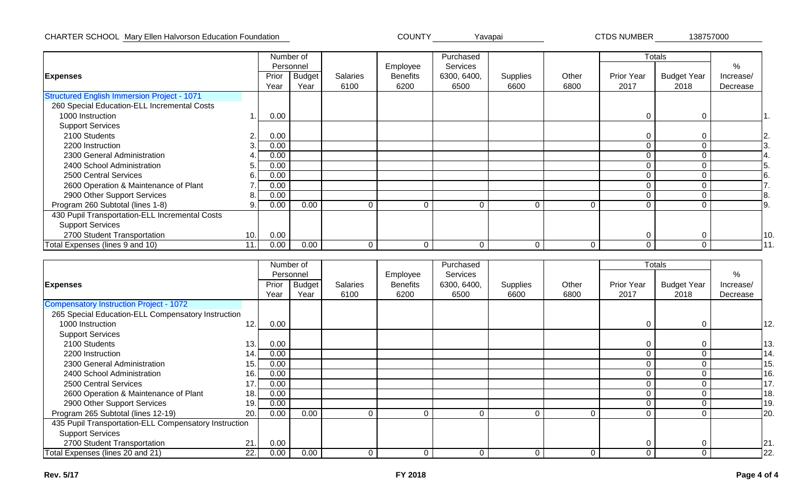### CHARTER SCHOOL Mary Ellen Halvorson Education Foundation Network COUNTY Yavapai New Yorking CTDS NUMBER 138757000

|                                                    |     | Number of |           |                 |                 | Purchased    |          |          | <b>Totals</b> |                    |           |     |
|----------------------------------------------------|-----|-----------|-----------|-----------------|-----------------|--------------|----------|----------|---------------|--------------------|-----------|-----|
|                                                    |     |           | Personnel |                 | Employee        | Services     |          |          |               |                    | %         |     |
| <b>Expenses</b>                                    |     | Prior     | Budget    | <b>Salaries</b> | <b>Benefits</b> | 6300, 6400,  | Supplies | Other    | Prior Year    | <b>Budget Year</b> | Increase/ |     |
|                                                    |     | Year      | Year      | 6100            | 6200            | 6500         | 6600     | 6800     | 2017          | 2018               | Decrease  |     |
| <b>Structured English Immersion Project - 1071</b> |     |           |           |                 |                 |              |          |          |               |                    |           |     |
| 260 Special Education-ELL Incremental Costs        |     |           |           |                 |                 |              |          |          |               |                    |           |     |
| 1000 Instruction                                   |     | 0.00      |           |                 |                 |              |          |          | 0             | $\Omega$           |           |     |
| <b>Support Services</b>                            |     |           |           |                 |                 |              |          |          |               |                    |           |     |
| 2100 Students                                      | ⌒   | 0.00      |           |                 |                 |              |          |          | 0             | $\Omega$           |           | 2.  |
| 2200 Instruction                                   |     | 0.00      |           |                 |                 |              |          |          | 0             |                    |           |     |
| 2300 General Administration                        |     | 0.00      |           |                 |                 |              |          |          | 0             |                    |           |     |
| 2400 School Administration                         | 5.  | 0.00      |           |                 |                 |              |          |          | 0             |                    |           |     |
| 2500 Central Services                              | 6.  | 0.00      |           |                 |                 |              |          |          | 0             |                    |           |     |
| 2600 Operation & Maintenance of Plant              |     | 0.00      |           |                 |                 |              |          |          | 0             |                    |           |     |
| 2900 Other Support Services                        | 8.  | 0.00      |           |                 |                 |              |          |          | 0             |                    |           |     |
| Program 260 Subtotal (lines 1-8)                   | 9.  | 0.00      | 0.00      | $\Omega$        | $\Omega$        | $\mathsf{C}$ | $\Omega$ | 0        | 0             |                    |           | Ι9. |
| 430 Pupil Transportation-ELL Incremental Costs     |     |           |           |                 |                 |              |          |          |               |                    |           |     |
| <b>Support Services</b>                            |     |           |           |                 |                 |              |          |          |               |                    |           |     |
| 2700 Student Transportation                        | 10. | 0.00      |           |                 |                 |              |          |          | 0             | 0                  |           | 10. |
| Total Expenses (lines 9 and 10)                    | 11. | 0.00      | 0.00      | $\Omega$        | $\Omega$        | Ω            | $\Omega$ | $\Omega$ | 0             | $\Omega$           |           | 11  |

|                                                       |             | Number of     |                 |          | Purchased   |          |       |                   | <b>Totals</b>      |           |
|-------------------------------------------------------|-------------|---------------|-----------------|----------|-------------|----------|-------|-------------------|--------------------|-----------|
|                                                       |             | Personnel     |                 | Employee | Services    |          |       |                   |                    | %         |
| <b>Expenses</b>                                       | Prior       | <b>Budget</b> | <b>Salaries</b> | Benefits | 6300, 6400, | Supplies | Other | <b>Prior Year</b> | <b>Budget Year</b> | Increase/ |
|                                                       | Year        | Year          | 6100            | 6200     | 6500        | 6600     | 6800  | 2017              | 2018               | Decrease  |
| <b>Compensatory Instruction Project - 1072</b>        |             |               |                 |          |             |          |       |                   |                    |           |
| 265 Special Education-ELL Compensatory Instruction    |             |               |                 |          |             |          |       |                   |                    |           |
| 1000 Instruction                                      | 12.<br>0.00 |               |                 |          |             |          |       |                   |                    | 12.       |
| <b>Support Services</b>                               |             |               |                 |          |             |          |       |                   |                    |           |
| 2100 Students                                         | 13.<br>0.00 |               |                 |          |             |          |       |                   |                    | 13.       |
| 2200 Instruction                                      | 0.00<br>14. |               |                 |          |             |          |       |                   |                    | 14.       |
| 2300 General Administration                           | 0.00<br>15. |               |                 |          |             |          |       |                   |                    | 15        |
| 2400 School Administration                            | 0.00<br>16. |               |                 |          |             |          |       |                   |                    | 16.       |
| 2500 Central Services                                 | 0.00<br>17. |               |                 |          |             |          |       |                   |                    | 17.       |
| 2600 Operation & Maintenance of Plant                 | 0.00<br>18. |               |                 |          |             |          |       |                   |                    | 18.       |
| 2900 Other Support Services                           | 0.00<br>19. |               |                 |          |             |          |       |                   |                    | 19        |
| Program 265 Subtotal (lines 12-19)                    | 20.<br>0.00 | 0.00          | $\Omega$        | 0        |             | $\Omega$ | 0     | $\Omega$          |                    | 20.       |
| 435 Pupil Transportation-ELL Compensatory Instruction |             |               |                 |          |             |          |       |                   |                    |           |
| <b>Support Services</b>                               |             |               |                 |          |             |          |       |                   |                    |           |
| 2700 Student Transportation                           | 21.<br>0.00 |               |                 |          |             |          |       | $\Omega$          |                    | 21.       |
| Total Expenses (lines 20 and 21)                      | 22.<br>0.00 | 0.00          | ∩               | 0        | ሰ           | $\Omega$ | 0     | 0                 | $\Omega$           | 22.       |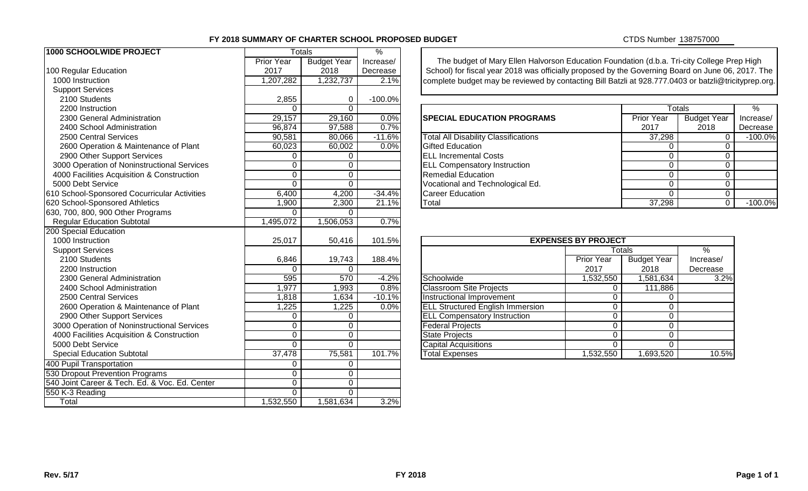### **FY 2018 SUMMARY OF CHARTER SCHOOL PROPOSED BUDGET**

CTDS Number 138757000

| 1000 SCHOOLWIDE PROJECT                        |                   | <b>Totals</b>      | $\%$      |                                                                                                 |                            |                    |                    |               |  |
|------------------------------------------------|-------------------|--------------------|-----------|-------------------------------------------------------------------------------------------------|----------------------------|--------------------|--------------------|---------------|--|
|                                                | <b>Prior Year</b> | <b>Budget Year</b> | Increase/ | The budget of Mary Ellen Halvorson Education Foundation (d.b.a. Tri-city College Prep High      |                            |                    |                    |               |  |
| 100 Regular Education                          | 2017              | 2018               | Decrease  | School) for fiscal year 2018 was officially proposed by the Governing Board on June 06, 2017.   |                            |                    |                    |               |  |
| 1000 Instruction                               | 1,207,282         | 1,232,737          | 2.1%      | complete budget may be reviewed by contacting Bill Batzli at 928.777.0403 or batzli@tricityprep |                            |                    |                    |               |  |
| <b>Support Services</b>                        |                   |                    |           |                                                                                                 |                            |                    |                    |               |  |
| 2100 Students                                  | 2,855             | $\mathbf 0$        | $-100.0%$ |                                                                                                 |                            |                    |                    |               |  |
| 2200 Instruction                               | $\Omega$          | $\Omega$           |           |                                                                                                 |                            | <b>Totals</b>      |                    | $\frac{1}{2}$ |  |
| 2300 General Administration                    | 29,157            | 29,160             | 0.0%      | <b>SPECIAL EDUCATION PROGRAMS</b>                                                               |                            | Prior Year         | <b>Budget Year</b> | Increa        |  |
| 2400 School Administration                     | 96,874            | 97,588             | 0.7%      |                                                                                                 |                            | 2017               | 2018               | Decre         |  |
| 2500 Central Services                          | 90,581            | 80,066             | $-11.6%$  | <b>Total All Disability Classifications</b>                                                     |                            | 37,298             | $\mathbf 0$        | $-100$        |  |
| 2600 Operation & Maintenance of Plant          | 60,023            | 60,002             | 0.0%      | <b>Gifted Education</b>                                                                         |                            | $\Omega$           | 0                  |               |  |
| 2900 Other Support Services                    | $\mathbf 0$       | $\overline{0}$     |           | <b>ELL Incremental Costs</b>                                                                    | 0                          | $\Omega$           |                    |               |  |
| 3000 Operation of Noninstructional Services    | 0                 | $\overline{0}$     |           | <b>ELL Compensatory Instruction</b><br>$\Omega$                                                 |                            |                    |                    |               |  |
| 4000 Facilities Acquisition & Construction     | $\overline{0}$    | $\overline{0}$     |           | <b>Remedial Education</b><br>$\Omega$                                                           |                            |                    |                    |               |  |
| 5000 Debt Service                              | $\mathbf 0$       | $\overline{0}$     |           | Vocational and Technological Ed.                                                                |                            | 0                  | 0                  |               |  |
| 610 School-Sponsored Cocurricular Activities   | 6,400             | 4,200              | $-34.4%$  | <b>Career Education</b>                                                                         | $\Omega$                   | $\mathbf 0$        |                    |               |  |
| 620 School-Sponsored Athletics                 | 1,900             | 2,300              | 21.1%     | Total                                                                                           |                            | 37,298             | $\Omega$           | $-100$        |  |
| 630, 700, 800, 900 Other Programs              | $\Omega$          | $\Omega$           |           |                                                                                                 |                            |                    |                    |               |  |
| <b>Regular Education Subtotal</b>              | 1,495,072         | 1,506,053          | 0.7%      |                                                                                                 |                            |                    |                    |               |  |
| 200 Special Education                          |                   |                    |           |                                                                                                 |                            |                    |                    |               |  |
| 1000 Instruction                               | 25,017            | 50,416             | 101.5%    |                                                                                                 | <b>EXPENSES BY PROJECT</b> |                    |                    |               |  |
| <b>Support Services</b>                        |                   |                    |           |                                                                                                 |                            | Totals             | $\%$               |               |  |
| 2100 Students                                  | 6,846             | 19,743             | 188.4%    |                                                                                                 | <b>Prior Year</b>          | <b>Budget Year</b> | Increase/          |               |  |
| 2200 Instruction                               | $\Omega$          | $\Omega$           |           |                                                                                                 | 2017                       | 2018               | Decrease           |               |  |
| 2300 General Administration                    | 595               | 570                | $-4.2%$   | Schoolwide                                                                                      | 1,532,550                  | 1,581,634          | 3.2%               |               |  |
| 2400 School Administration                     | 1,977             | 1,993              | 0.8%      | <b>Classroom Site Projects</b>                                                                  | $\Omega$                   | 111,886            |                    |               |  |
| 2500 Central Services                          | 1,818             | 1,634              | $-10.1%$  | Instructional Improvement                                                                       | $\Omega$                   | $\Omega$           |                    |               |  |
| 2600 Operation & Maintenance of Plant          | 1,225             | 1,225              | 0.0%      | <b>ELL Structured English Immersion</b>                                                         | $\Omega$                   | $\Omega$           |                    |               |  |
| 2900 Other Support Services                    | $\mathbf 0$       | $\mathbf 0$        |           | <b>ELL Compensatory Instruction</b>                                                             | $\Omega$                   | $\Omega$           |                    |               |  |
| 3000 Operation of Noninstructional Services    | $\overline{0}$    | $\overline{0}$     |           | <b>Federal Projects</b>                                                                         | $\overline{0}$             | $\Omega$           |                    |               |  |
| 4000 Facilities Acquisition & Construction     | $\overline{0}$    | $\overline{0}$     |           | <b>State Projects</b>                                                                           | $\mathbf 0$                | 0                  |                    |               |  |
| 5000 Debt Service                              | $\overline{0}$    | $\overline{0}$     |           | Capital Acquisitions                                                                            | $\overline{0}$             | 0                  |                    |               |  |
| <b>Special Education Subtotal</b>              | 37,478            | 75,581             | 101.7%    | <b>Total Expenses</b>                                                                           | 1,532,550                  | 1,693,520          | 10.5%              |               |  |
| 400 Pupil Transportation                       | 0                 | $\mathbf 0$        |           |                                                                                                 |                            |                    |                    |               |  |
| 530 Dropout Prevention Programs                | $\overline{0}$    | $\overline{0}$     |           |                                                                                                 |                            |                    |                    |               |  |
| 540 Joint Career & Tech. Ed. & Voc. Ed. Center | $\overline{0}$    | $\overline{0}$     |           |                                                                                                 |                            |                    |                    |               |  |
| 550 K-3 Reading                                | $\mathbf 0$       | $\overline{0}$     |           |                                                                                                 |                            |                    |                    |               |  |
|                                                | 1,532,550         | 1,581,634          |           |                                                                                                 |                            |                    |                    |               |  |

| 2200 Instruction                             |        |        |          |                                             |                   | Totals             | %          |
|----------------------------------------------|--------|--------|----------|---------------------------------------------|-------------------|--------------------|------------|
| 2300 General Administration                  | 29,157 | 29,160 | 0.0%     | <b>SPECIAL EDUCATION PROGRAMS</b>           | <b>Prior Year</b> | <b>Budget Year</b> | Increase/  |
| 2400 School Administration                   | 96,874 | 97,588 | 0.7%     |                                             | 2017              | 2018               | Decrease   |
| 2500 Central Services                        | 90,581 | 80,066 | $-11.6%$ | <b>Total All Disability Classifications</b> | 37,298            |                    | $-100.0\%$ |
| 2600 Operation & Maintenance of Plant        | 60,023 | 60,002 | $0.0\%$  | Gifted Education                            |                   |                    |            |
| 2900 Other Support Services                  |        |        |          | <b>IELL Incremental Costs</b>               |                   |                    |            |
| 3000 Operation of Noninstructional Services  |        |        |          | <b>ELL Compensatory Instruction</b>         |                   |                    |            |
| 4000 Facilities Acquisition & Construction   |        |        |          | <b>Remedial Education</b>                   |                   |                    |            |
| 5000 Debt Service                            |        |        |          | Vocational and Technological Ed.            |                   |                    |            |
| 610 School-Sponsored Cocurricular Activities | 6.400  | 4,200  | $-34.4%$ | Career Education                            |                   |                    |            |
| 620 School-Sponsored Athletics               | 0.900  | 2,300  | 21.1%    | Total                                       | 37,298            |                    | $-100.0\%$ |

| <b>EXPENSES BY PROJECT</b>              |                   |                    |           |
|-----------------------------------------|-------------------|--------------------|-----------|
|                                         |                   | <b>Totals</b>      | %         |
|                                         | <b>Prior Year</b> | <b>Budget Year</b> | Increase/ |
|                                         | 2017              | 2018               | Decrease  |
| Schoolwide                              | 1,532,550         | 1,581,634          | 3.2%      |
| <b>Classroom Site Projects</b>          | 0                 | 111,886            |           |
| <b>Instructional Improvement</b>        | 0                 | 0                  |           |
| <b>ELL Structured English Immersion</b> | 0                 | 0                  |           |
| <b>ELL Compensatory Instruction</b>     | 0                 | 0                  |           |
| <b>Federal Projects</b>                 | 0                 | ი                  |           |
| <b>State Projects</b>                   | 0                 | 0                  |           |
| <b>Capital Acquisitions</b>             | 0                 | 0                  |           |
| <b>Total Expenses</b>                   | 1,532,550         | 1,693,520          | 10.5%     |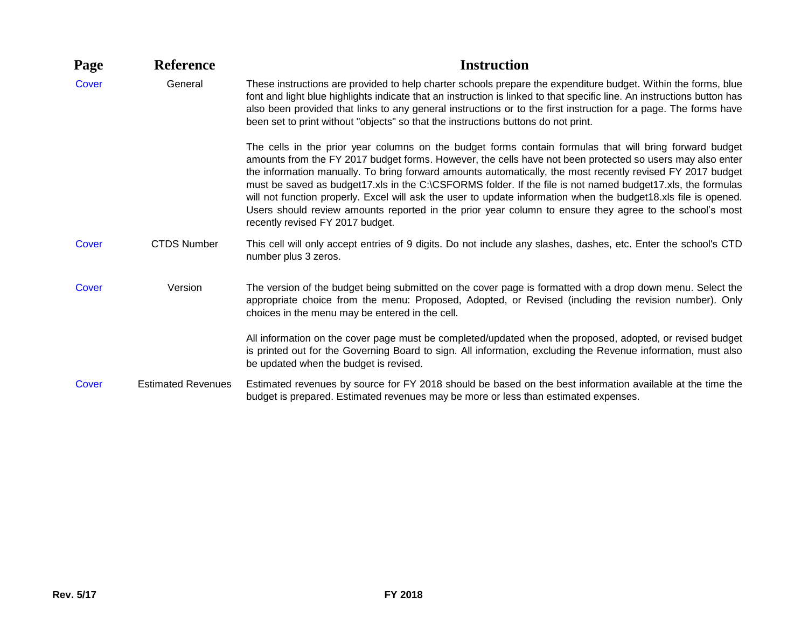| Page  | <b>Reference</b>          | <b>Instruction</b>                                                                                                                                                                                                                                                                                                                                                                                                                                                                                                                                                                                                                                                                                                  |
|-------|---------------------------|---------------------------------------------------------------------------------------------------------------------------------------------------------------------------------------------------------------------------------------------------------------------------------------------------------------------------------------------------------------------------------------------------------------------------------------------------------------------------------------------------------------------------------------------------------------------------------------------------------------------------------------------------------------------------------------------------------------------|
| Cover | General                   | These instructions are provided to help charter schools prepare the expenditure budget. Within the forms, blue<br>font and light blue highlights indicate that an instruction is linked to that specific line. An instructions button has<br>also been provided that links to any general instructions or to the first instruction for a page. The forms have<br>been set to print without "objects" so that the instructions buttons do not print.                                                                                                                                                                                                                                                                 |
|       |                           | The cells in the prior year columns on the budget forms contain formulas that will bring forward budget<br>amounts from the FY 2017 budget forms. However, the cells have not been protected so users may also enter<br>the information manually. To bring forward amounts automatically, the most recently revised FY 2017 budget<br>must be saved as budget17.xls in the C:\CSFORMS folder. If the file is not named budget17.xls, the formulas<br>will not function properly. Excel will ask the user to update information when the budget18.xls file is opened.<br>Users should review amounts reported in the prior year column to ensure they agree to the school's most<br>recently revised FY 2017 budget. |
| Cover | <b>CTDS Number</b>        | This cell will only accept entries of 9 digits. Do not include any slashes, dashes, etc. Enter the school's CTD<br>number plus 3 zeros.                                                                                                                                                                                                                                                                                                                                                                                                                                                                                                                                                                             |
| Cover | Version                   | The version of the budget being submitted on the cover page is formatted with a drop down menu. Select the<br>appropriate choice from the menu: Proposed, Adopted, or Revised (including the revision number). Only<br>choices in the menu may be entered in the cell.                                                                                                                                                                                                                                                                                                                                                                                                                                              |
|       |                           | All information on the cover page must be completed/updated when the proposed, adopted, or revised budget<br>is printed out for the Governing Board to sign. All information, excluding the Revenue information, must also<br>be updated when the budget is revised.                                                                                                                                                                                                                                                                                                                                                                                                                                                |
| Cover | <b>Estimated Revenues</b> | Estimated revenues by source for FY 2018 should be based on the best information available at the time the<br>budget is prepared. Estimated revenues may be more or less than estimated expenses.                                                                                                                                                                                                                                                                                                                                                                                                                                                                                                                   |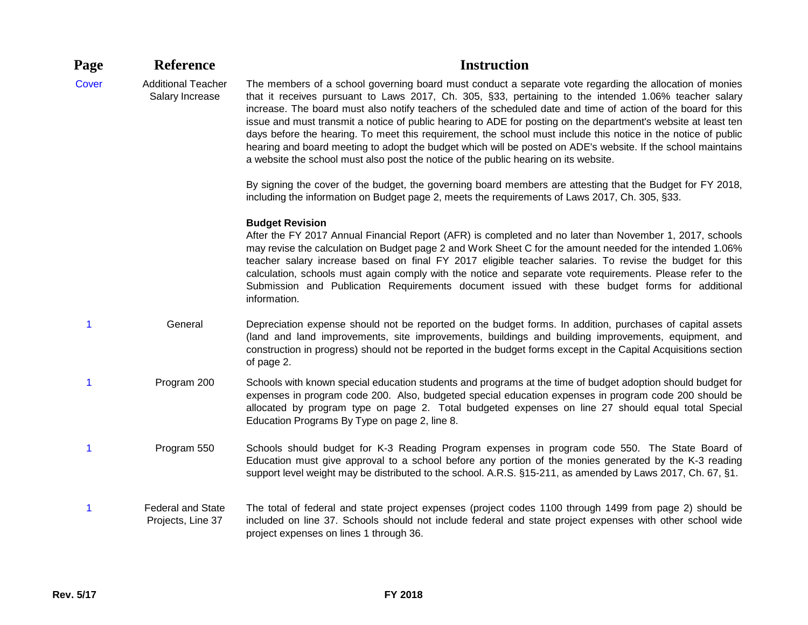| Page         | <b>Reference</b>                              | <b>Instruction</b>                                                                                                                                                                                                                                                                                                                                                                                                                                                                                                                                                                                                                                                                                                                                                           |
|--------------|-----------------------------------------------|------------------------------------------------------------------------------------------------------------------------------------------------------------------------------------------------------------------------------------------------------------------------------------------------------------------------------------------------------------------------------------------------------------------------------------------------------------------------------------------------------------------------------------------------------------------------------------------------------------------------------------------------------------------------------------------------------------------------------------------------------------------------------|
| <b>Cover</b> | <b>Additional Teacher</b><br>Salary Increase  | The members of a school governing board must conduct a separate vote regarding the allocation of monies<br>that it receives pursuant to Laws 2017, Ch. 305, §33, pertaining to the intended 1.06% teacher salary<br>increase. The board must also notify teachers of the scheduled date and time of action of the board for this<br>issue and must transmit a notice of public hearing to ADE for posting on the department's website at least ten<br>days before the hearing. To meet this requirement, the school must include this notice in the notice of public<br>hearing and board meeting to adopt the budget which will be posted on ADE's website. If the school maintains<br>a website the school must also post the notice of the public hearing on its website. |
|              |                                               | By signing the cover of the budget, the governing board members are attesting that the Budget for FY 2018,<br>including the information on Budget page 2, meets the requirements of Laws 2017, Ch. 305, §33.                                                                                                                                                                                                                                                                                                                                                                                                                                                                                                                                                                 |
|              |                                               | <b>Budget Revision</b><br>After the FY 2017 Annual Financial Report (AFR) is completed and no later than November 1, 2017, schools<br>may revise the calculation on Budget page 2 and Work Sheet C for the amount needed for the intended 1.06%<br>teacher salary increase based on final FY 2017 eligible teacher salaries. To revise the budget for this<br>calculation, schools must again comply with the notice and separate vote requirements. Please refer to the<br>Submission and Publication Requirements document issued with these budget forms for additional<br>information.                                                                                                                                                                                   |
| 1            | General                                       | Depreciation expense should not be reported on the budget forms. In addition, purchases of capital assets<br>(land and land improvements, site improvements, buildings and building improvements, equipment, and<br>construction in progress) should not be reported in the budget forms except in the Capital Acquisitions section<br>of page 2.                                                                                                                                                                                                                                                                                                                                                                                                                            |
| 1            | Program 200                                   | Schools with known special education students and programs at the time of budget adoption should budget for<br>expenses in program code 200. Also, budgeted special education expenses in program code 200 should be<br>allocated by program type on page 2. Total budgeted expenses on line 27 should equal total Special<br>Education Programs By Type on page 2, line 8.                                                                                                                                                                                                                                                                                                                                                                                                  |
| 1            | Program 550                                   | Schools should budget for K-3 Reading Program expenses in program code 550. The State Board of<br>Education must give approval to a school before any portion of the monies generated by the K-3 reading<br>support level weight may be distributed to the school. A.R.S. §15-211, as amended by Laws 2017, Ch. 67, §1.                                                                                                                                                                                                                                                                                                                                                                                                                                                      |
| 1            | <b>Federal and State</b><br>Projects, Line 37 | The total of federal and state project expenses (project codes 1100 through 1499 from page 2) should be<br>included on line 37. Schools should not include federal and state project expenses with other school wide<br>project expenses on lines 1 through 36.                                                                                                                                                                                                                                                                                                                                                                                                                                                                                                              |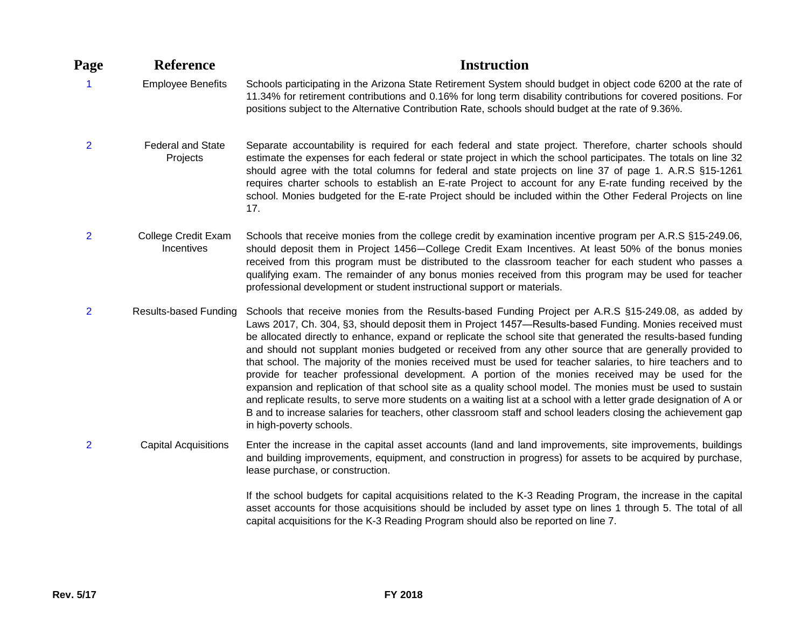| Page           | <b>Reference</b>                     | <b>Instruction</b>                                                                                                                                                                                                                                                                                                                                                                                                                                                                                                                                                                                                                                                                                                                                                                                                                                                                                                                                                                                                                                    |
|----------------|--------------------------------------|-------------------------------------------------------------------------------------------------------------------------------------------------------------------------------------------------------------------------------------------------------------------------------------------------------------------------------------------------------------------------------------------------------------------------------------------------------------------------------------------------------------------------------------------------------------------------------------------------------------------------------------------------------------------------------------------------------------------------------------------------------------------------------------------------------------------------------------------------------------------------------------------------------------------------------------------------------------------------------------------------------------------------------------------------------|
| -1             | <b>Employee Benefits</b>             | Schools participating in the Arizona State Retirement System should budget in object code 6200 at the rate of<br>11.34% for retirement contributions and 0.16% for long term disability contributions for covered positions. For<br>positions subject to the Alternative Contribution Rate, schools should budget at the rate of 9.36%.                                                                                                                                                                                                                                                                                                                                                                                                                                                                                                                                                                                                                                                                                                               |
| $\overline{2}$ | <b>Federal and State</b><br>Projects | Separate accountability is required for each federal and state project. Therefore, charter schools should<br>estimate the expenses for each federal or state project in which the school participates. The totals on line 32<br>should agree with the total columns for federal and state projects on line 37 of page 1. A.R.S §15-1261<br>requires charter schools to establish an E-rate Project to account for any E-rate funding received by the<br>school. Monies budgeted for the E-rate Project should be included within the Other Federal Projects on line<br>17.                                                                                                                                                                                                                                                                                                                                                                                                                                                                            |
| $\overline{2}$ | College Credit Exam<br>Incentives    | Schools that receive monies from the college credit by examination incentive program per A.R.S §15-249.06,<br>should deposit them in Project 1456–College Credit Exam Incentives. At least 50% of the bonus monies<br>received from this program must be distributed to the classroom teacher for each student who passes a<br>qualifying exam. The remainder of any bonus monies received from this program may be used for teacher<br>professional development or student instructional support or materials.                                                                                                                                                                                                                                                                                                                                                                                                                                                                                                                                       |
| $\overline{2}$ | <b>Results-based Funding</b>         | Schools that receive monies from the Results-based Funding Project per A.R.S §15-249.08, as added by<br>Laws 2017, Ch. 304, §3, should deposit them in Project 1457—Results-based Funding. Monies received must<br>be allocated directly to enhance, expand or replicate the school site that generated the results-based funding<br>and should not supplant monies budgeted or received from any other source that are generally provided to<br>that school. The majority of the monies received must be used for teacher salaries, to hire teachers and to<br>provide for teacher professional development. A portion of the monies received may be used for the<br>expansion and replication of that school site as a quality school model. The monies must be used to sustain<br>and replicate results, to serve more students on a waiting list at a school with a letter grade designation of A or<br>B and to increase salaries for teachers, other classroom staff and school leaders closing the achievement gap<br>in high-poverty schools. |
| $\overline{2}$ | <b>Capital Acquisitions</b>          | Enter the increase in the capital asset accounts (land and land improvements, site improvements, buildings<br>and building improvements, equipment, and construction in progress) for assets to be acquired by purchase,<br>lease purchase, or construction.                                                                                                                                                                                                                                                                                                                                                                                                                                                                                                                                                                                                                                                                                                                                                                                          |
|                |                                      | If the school budgets for capital acquisitions related to the K-3 Reading Program, the increase in the capital<br>asset accounts for those acquisitions should be included by asset type on lines 1 through 5. The total of all<br>capital acquisitions for the K-3 Reading Program should also be reported on line 7.                                                                                                                                                                                                                                                                                                                                                                                                                                                                                                                                                                                                                                                                                                                                |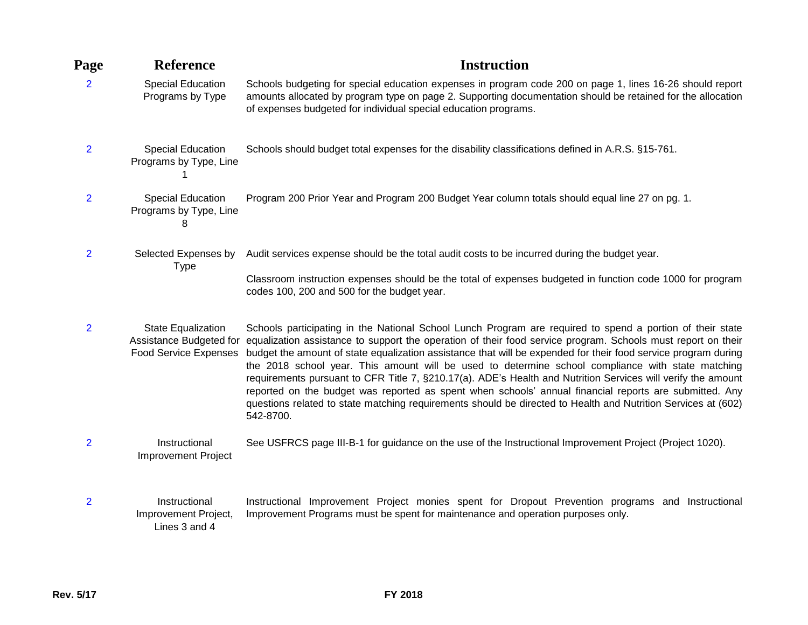| Page           | <b>Reference</b>                                                              | <b>Instruction</b>                                                                                                                                                                                                                                                                                                                                                                                                                                                                                                                                                                                                                                                                                                                                                                                       |
|----------------|-------------------------------------------------------------------------------|----------------------------------------------------------------------------------------------------------------------------------------------------------------------------------------------------------------------------------------------------------------------------------------------------------------------------------------------------------------------------------------------------------------------------------------------------------------------------------------------------------------------------------------------------------------------------------------------------------------------------------------------------------------------------------------------------------------------------------------------------------------------------------------------------------|
| $\overline{2}$ | <b>Special Education</b><br>Programs by Type                                  | Schools budgeting for special education expenses in program code 200 on page 1, lines 16-26 should report<br>amounts allocated by program type on page 2. Supporting documentation should be retained for the allocation<br>of expenses budgeted for individual special education programs.                                                                                                                                                                                                                                                                                                                                                                                                                                                                                                              |
| $\overline{2}$ | Special Education<br>Programs by Type, Line                                   | Schools should budget total expenses for the disability classifications defined in A.R.S. §15-761.                                                                                                                                                                                                                                                                                                                                                                                                                                                                                                                                                                                                                                                                                                       |
| $\overline{2}$ | <b>Special Education</b><br>Programs by Type, Line<br>8                       | Program 200 Prior Year and Program 200 Budget Year column totals should equal line 27 on pg. 1.                                                                                                                                                                                                                                                                                                                                                                                                                                                                                                                                                                                                                                                                                                          |
| $\overline{2}$ | Selected Expenses by<br><b>Type</b>                                           | Audit services expense should be the total audit costs to be incurred during the budget year.<br>Classroom instruction expenses should be the total of expenses budgeted in function code 1000 for program<br>codes 100, 200 and 500 for the budget year.                                                                                                                                                                                                                                                                                                                                                                                                                                                                                                                                                |
| $\overline{2}$ | State Equalization<br>Assistance Budgeted for<br><b>Food Service Expenses</b> | Schools participating in the National School Lunch Program are required to spend a portion of their state<br>equalization assistance to support the operation of their food service program. Schools must report on their<br>budget the amount of state equalization assistance that will be expended for their food service program during<br>the 2018 school year. This amount will be used to determine school compliance with state matching<br>requirements pursuant to CFR Title 7, §210.17(a). ADE's Health and Nutrition Services will verify the amount<br>reported on the budget was reported as spent when schools' annual financial reports are submitted. Any<br>questions related to state matching requirements should be directed to Health and Nutrition Services at (602)<br>542-8700. |
| $\overline{2}$ | Instructional<br><b>Improvement Project</b>                                   | See USFRCS page III-B-1 for guidance on the use of the Instructional Improvement Project (Project 1020).                                                                                                                                                                                                                                                                                                                                                                                                                                                                                                                                                                                                                                                                                                 |
| $\overline{2}$ | Instructional<br>Improvement Project,                                         | Instructional Improvement Project monies spent for Dropout Prevention programs and Instructional<br>Improvement Programs must be spent for maintenance and operation purposes only.                                                                                                                                                                                                                                                                                                                                                                                                                                                                                                                                                                                                                      |

Lines 3 and 4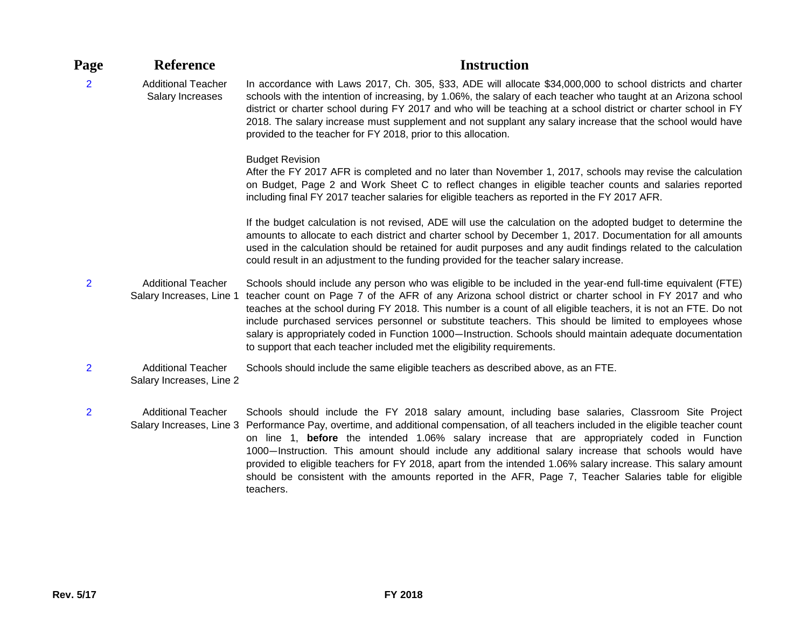| Page           | <b>Reference</b>                                      | <b>Instruction</b>                                                                                                                                                                                                                                                                                                                                                                                                                                                                                                                                                                                                                           |
|----------------|-------------------------------------------------------|----------------------------------------------------------------------------------------------------------------------------------------------------------------------------------------------------------------------------------------------------------------------------------------------------------------------------------------------------------------------------------------------------------------------------------------------------------------------------------------------------------------------------------------------------------------------------------------------------------------------------------------------|
| $\overline{2}$ | <b>Additional Teacher</b><br>Salary Increases         | In accordance with Laws 2017, Ch. 305, §33, ADE will allocate \$34,000,000 to school districts and charter<br>schools with the intention of increasing, by 1.06%, the salary of each teacher who taught at an Arizona school<br>district or charter school during FY 2017 and who will be teaching at a school district or charter school in FY<br>2018. The salary increase must supplement and not supplant any salary increase that the school would have<br>provided to the teacher for FY 2018, prior to this allocation.                                                                                                               |
|                |                                                       | <b>Budget Revision</b><br>After the FY 2017 AFR is completed and no later than November 1, 2017, schools may revise the calculation<br>on Budget, Page 2 and Work Sheet C to reflect changes in eligible teacher counts and salaries reported<br>including final FY 2017 teacher salaries for eligible teachers as reported in the FY 2017 AFR.                                                                                                                                                                                                                                                                                              |
|                |                                                       | If the budget calculation is not revised, ADE will use the calculation on the adopted budget to determine the<br>amounts to allocate to each district and charter school by December 1, 2017. Documentation for all amounts<br>used in the calculation should be retained for audit purposes and any audit findings related to the calculation<br>could result in an adjustment to the funding provided for the teacher salary increase.                                                                                                                                                                                                     |
| $\overline{2}$ | <b>Additional Teacher</b><br>Salary Increases, Line 1 | Schools should include any person who was eligible to be included in the year-end full-time equivalent (FTE)<br>teacher count on Page 7 of the AFR of any Arizona school district or charter school in FY 2017 and who<br>teaches at the school during FY 2018. This number is a count of all eligible teachers, it is not an FTE. Do not<br>include purchased services personnel or substitute teachers. This should be limited to employees whose<br>salary is appropriately coded in Function 1000-Instruction. Schools should maintain adequate documentation<br>to support that each teacher included met the eligibility requirements. |
| $\overline{2}$ | <b>Additional Teacher</b><br>Salary Increases, Line 2 | Schools should include the same eligible teachers as described above, as an FTE.                                                                                                                                                                                                                                                                                                                                                                                                                                                                                                                                                             |
| $\overline{2}$ | <b>Additional Teacher</b>                             | Schools should include the FY 2018 salary amount, including base salaries, Classroom Site Project<br>Salary Increases, Line 3 Performance Pay, overtime, and additional compensation, of all teachers included in the eligible teacher count<br>on line 1, before the intended 1.06% salary increase that are appropriately coded in Function                                                                                                                                                                                                                                                                                                |

1000—Instruction. This amount should include any additional salary increase that schools would have provided to eligible teachers for FY 2018, apart from the intended 1.06% salary increase. This salary amount should be consistent with the amounts reported in the AFR, Page 7, Teacher Salaries table for eligible teachers.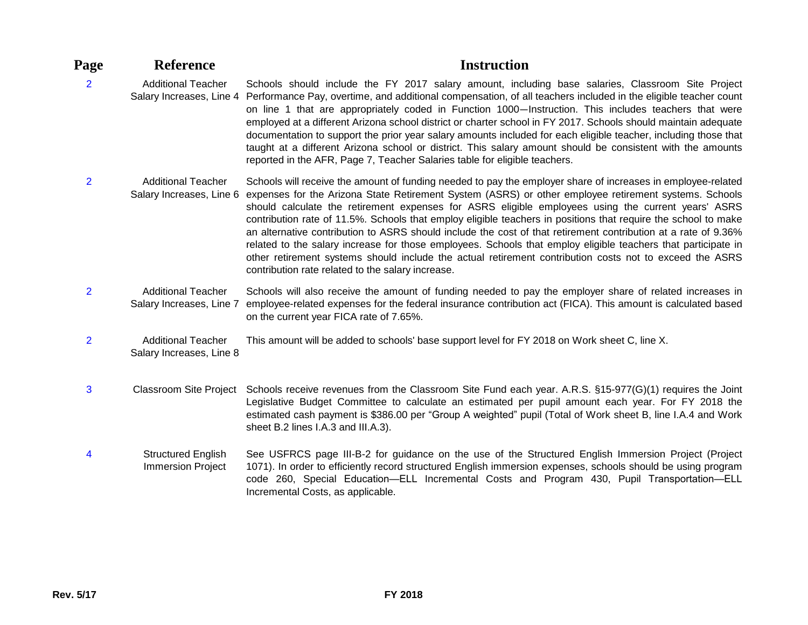| Page           | <b>Reference</b>                                      | <b>Instruction</b>                                                                                                                                                                                                                                                                                                                                                                                                                                                                                                                                                                                                                                                                                                                                                                                                                               |
|----------------|-------------------------------------------------------|--------------------------------------------------------------------------------------------------------------------------------------------------------------------------------------------------------------------------------------------------------------------------------------------------------------------------------------------------------------------------------------------------------------------------------------------------------------------------------------------------------------------------------------------------------------------------------------------------------------------------------------------------------------------------------------------------------------------------------------------------------------------------------------------------------------------------------------------------|
| $\overline{2}$ | <b>Additional Teacher</b><br>Salary Increases, Line 4 | Schools should include the FY 2017 salary amount, including base salaries, Classroom Site Project<br>Performance Pay, overtime, and additional compensation, of all teachers included in the eligible teacher count<br>on line 1 that are appropriately coded in Function 1000-Instruction. This includes teachers that were<br>employed at a different Arizona school district or charter school in FY 2017. Schools should maintain adequate<br>documentation to support the prior year salary amounts included for each eligible teacher, including those that<br>taught at a different Arizona school or district. This salary amount should be consistent with the amounts<br>reported in the AFR, Page 7, Teacher Salaries table for eligible teachers.                                                                                    |
| $\overline{2}$ | <b>Additional Teacher</b><br>Salary Increases, Line 6 | Schools will receive the amount of funding needed to pay the employer share of increases in employee-related<br>expenses for the Arizona State Retirement System (ASRS) or other employee retirement systems. Schools<br>should calculate the retirement expenses for ASRS eligible employees using the current years' ASRS<br>contribution rate of 11.5%. Schools that employ eligible teachers in positions that require the school to make<br>an alternative contribution to ASRS should include the cost of that retirement contribution at a rate of 9.36%<br>related to the salary increase for those employees. Schools that employ eligible teachers that participate in<br>other retirement systems should include the actual retirement contribution costs not to exceed the ASRS<br>contribution rate related to the salary increase. |
| $\overline{2}$ | <b>Additional Teacher</b><br>Salary Increases, Line 7 | Schools will also receive the amount of funding needed to pay the employer share of related increases in<br>employee-related expenses for the federal insurance contribution act (FICA). This amount is calculated based<br>on the current year FICA rate of 7.65%.                                                                                                                                                                                                                                                                                                                                                                                                                                                                                                                                                                              |
| $\overline{2}$ | <b>Additional Teacher</b><br>Salary Increases, Line 8 | This amount will be added to schools' base support level for FY 2018 on Work sheet C, line X.                                                                                                                                                                                                                                                                                                                                                                                                                                                                                                                                                                                                                                                                                                                                                    |
| 3              | <b>Classroom Site Project</b>                         | Schools receive revenues from the Classroom Site Fund each year. A.R.S. §15-977(G)(1) requires the Joint<br>Legislative Budget Committee to calculate an estimated per pupil amount each year. For FY 2018 the<br>estimated cash payment is \$386.00 per "Group A weighted" pupil (Total of Work sheet B, line I.A.4 and Work<br>sheet B.2 lines I.A.3 and III.A.3).                                                                                                                                                                                                                                                                                                                                                                                                                                                                             |
| 4              | <b>Structured English</b><br><b>Immersion Project</b> | See USFRCS page III-B-2 for guidance on the use of the Structured English Immersion Project (Project<br>1071). In order to efficiently record structured English immersion expenses, schools should be using program<br>code 260, Special Education-ELL Incremental Costs and Program 430, Pupil Transportation-ELL<br>Incremental Costs, as applicable.                                                                                                                                                                                                                                                                                                                                                                                                                                                                                         |